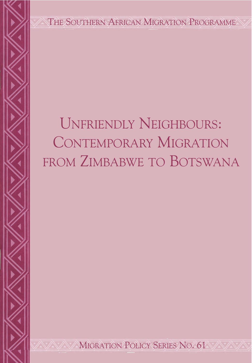THE SOUTHERN AFRICAN MIGRATION PROGRAMME

# UNFRIENDLY NEIGHBOURS: CONTEMPORARY MIGRATION FROM ZIMBABWE TO BOTSWANA

**MIGRATION POLICY SERIES NO. 61 WAYAYAY**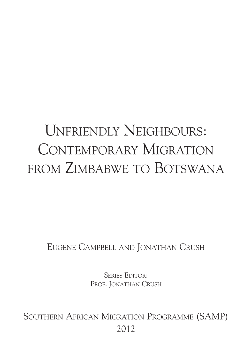# UNFRIENDLY NEIGHBOURS: CONTEMPORARY MIGRATION from Zimbabwe to botswana

EUGENE CAMPBELL AND JONATHAN CRUSH

SERIES EDITOR: PROF. JONATHAN CRUSH

SOUTHERN AFRICAN MIGRATION PROGRAMME (SAMP) 2012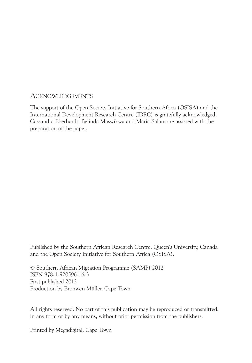## **ACKNOWLEDGEMENTS**

The support of the Open Society Initiative for Southern Africa (OSISA) and the International Development Research Centre (IDRC) is gratefully acknowledged. Cassandra Eberhardt, Belinda Maswikwa and Maria Salamone assisted with the preparation of the paper.

Published by the Southern African Research Centre, Queen's University, Canada and the Open Society Initiative for Southern Africa (OSISA).

© Southern African Migration Programme (SAMP) 2012 ISBN 978-1-920596-16-3 First published 2012 Production by Bronwen Müller, Cape Town

All rights reserved. No part of this publication may be reproduced or transmitted, in any form or by any means, without prior permission from the publishers.

Printed by Megadigital, Cape Town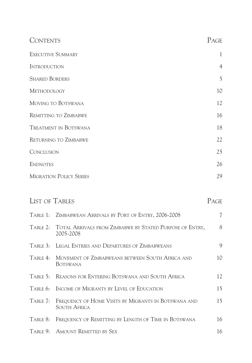| <b>CONTENTS</b>       |                                                                             | PAGE           |
|-----------------------|-----------------------------------------------------------------------------|----------------|
|                       | <b>EXECUTIVE SUMMARY</b>                                                    | 1              |
| <b>INTRODUCTION</b>   |                                                                             | $\overline{4}$ |
| <b>SHARED BORDERS</b> |                                                                             | 5              |
| METHODOLOGY           |                                                                             | 10             |
|                       | MOVING TO BOTSWANA                                                          | 12             |
|                       | REMITTING TO ZIMBABWE                                                       | 16             |
|                       | <b>TREATMENT IN BOTSWANA</b>                                                | 18             |
|                       | <b>RETURNING TO ZIMBABWE</b>                                                | 22             |
| CONCLUSION            |                                                                             | 25             |
| <b>ENDNOTES</b>       |                                                                             | 26             |
|                       | <b>MIGRATION POLICY SERIES</b>                                              | 29             |
| <b>LIST OF TABLES</b> |                                                                             | PAGE           |
|                       | TABLE 1: ZIMBABWEAN ARRIVALS BY PORT OF ENTRY, 2006-2008                    | 7              |
| TABLE 2:              | TOTAL ARRIVALS FROM ZIMBABWE BY STATED PURPOSE OF ENTRY,<br>2005-2008       | 8              |
|                       | TABLE 3: LEGAL ENTRIES AND DEPARTURES OF ZIMBABWEANS                        | 9              |
| TABLE 4:              | MOVEMENT OF ZIMBABWEANS BETWEEN SOUTH AFRICA AND<br>BOTSWANA                | 10             |
|                       | TABLE 5: REASONS FOR ENTERING BOTSWANA AND SOUTH AFRICA                     | 12             |
| TABLE 6:              | INCOME OF MIGRANTS BY LEVEL OF EDUCATION                                    | 15             |
| TABLE 7:              | FREQUENCY OF HOME VISITS BY MIGRANTS IN BOTSWANA AND<br><b>SOUTH AFRICA</b> | 15             |
| TABLE 8:              | FREQUENCY OF REMITTING BY LENGTH OF TIME IN BOTSWANA                        | 16             |
| TABLE 9:              | <b>AMOUNT REMITTED BY SEX</b>                                               | 16             |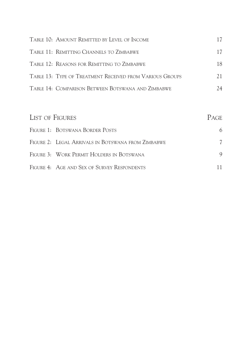| TABLE 10: AMOUNT REMITTED BY LEVEL OF INCOME             |     |
|----------------------------------------------------------|-----|
| TABLE 11: REMITTING CHANNELS TO ZIMBABWE                 | 17  |
| TABLE 12: REASONS FOR REMITTING TO ZIMBABWE              | 18  |
| TABLE 13: TYPE OF TREATMENT RECEIVED FROM VARIOUS GROUPS | 2.1 |
| TABLE 14: COMPARISON BETWEEN BOTSWANA AND ZIMBABWE       | 24  |

| LIST OF FIGURES |                                                    | <b>PAGE</b> |
|-----------------|----------------------------------------------------|-------------|
|                 | FIGURE 1: BOTSWANA BORDER POSTS                    | 6           |
|                 | FIGURE 2: LEGAL ARRIVALS IN BOTSWANA FROM ZIMBABWE |             |
|                 | FIGURE 3: WORK PERMIT HOLDERS IN BOTSWANA          |             |
|                 | FIGURE 4: AGE AND SEX OF SURVEY RESPONDENTS        |             |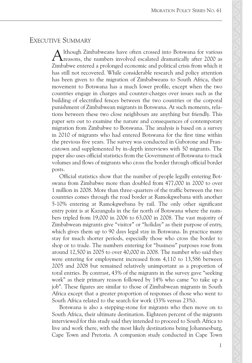### EXECUTIVE SUMMARY

Although Zimbabweans have often crossed into Botswana for various<br>Timbabwe entered a prolonged economic and political crisis from which<br>has still not recovered. While considerable research and policy attentic<br>has been give Although Zimbabweans have often crossed into Botswana for various<br>reasons, the numbers involved escalated dramatically after 2000 as Zimbabwe entered a prolonged economic and political crisis from which it has still not recovered. While considerable research and policy attention has been given to the migration of Zimbabweans to South Africa, their movement to Botswana has a much lower profile, except when the two countries engage in charges and counter-charges over issues such as the building of electrified fences between the two countries or the corporal punishment of Zimbabwean migrants in Botswana. At such moments, relations between these two close neighbours are anything but friendly. This paper sets out to examine the nature and consequences of contemporary migration from Zimbabwe to Botswana. The analysis is based on a survey in 2010 of migrants who had entered Botswana for the first time within the previous five years. The survey was conducted in Gaborone and Francistown and supplemented by in-depth interviews with 50 migrants. The paper also uses official statistics from the Government of Botswana to track volumes and flows of migrants who cross the border through official border sector. The paper draws upon a detailed analysis of recruitment posts.

Official statistics show that the number of people legally entering Botswana from Zimbabwe more than doubled from 477,000 in 2000 to over 1 million in 2008. More than three-quarters of the traffic between the two countries comes through the road border at Ramokgwebana with another 5-10% entering at Ramokgwebana by rail. The only other significant entry point is at Kazungula in the far north of Botswana where the numbers tripled from 19,000 in 2006 to 63,000 in 2008. The vast majority of Zimbabwean migrants give "visitor" or "holiday" as their purpose of entry, which gives them up to 90 days legal stay in Botswana. In practice many stay for much shorter periods, especially those who cross the border to shop or to trade. The numbers entering for "business" purposes rose from around  $12,500$  in 2005 to over  $40,000$  in 2008. The number who said they were entering for employment increased from 4,110 to 13,586 between 2005 and 2008 but remained relatively unimportant as a proportion of total entries. By contrast, 43% of the migrants in the survey gave "seeking" work" as their primary reason followed by 14% who came "to take up a job". These figures are similar to those of Zimbabwean migrants in South Africa except that a greater proportion of responses of those who went to South Africa related to the search for work (33% versus 23%). MIGRATION POLICY SERIES NO. 61<br>
Sissed into Botswana for various<br>
and political crisis from which it<br>
research and policy attention<br>
are research and policy attention<br>
probable crisis from which it<br>
responses to South Afri EXECUTIVE SUMMARY **A**<br> **A** Interacting Earthodiveans have often crossed into Betswana for variety<br> **A** Interactions, the numbers involved escalared dramatically after 2000 as<br>
Zimbanye entered a prolonged economic and pol

Botswana is also a stepping-stone for migrants who then move on to South Africa, their ultimate destination. Eighteen percent of the migrants interviewed for this study said they intended to proceed to South Africa to live and work there, with the most likely destinations being Johannesburg, Cape Town and Pretoria. A companion study conducted in Cape Town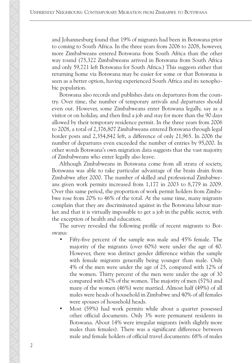and Johannesburg found that 19% of migrants had been in Botswana prior to coming to South Africa. In the three years from 2006 to 2008, however, more Zimbabweans entered Botswana from South Africa than the other way round (75,322 Zimbabweans arrived in Botswana from South Africa and only 59,721 left Botswana for South Africa.) This suggests either that returning home via Botswana may be easier for some or that Botswana is seen as a better option, having experienced South Africa and its xenophobic population.

Botswana also records and publishes data on departures from the country. Over time, the number of temporary arrivals and departures should even out. However, some Zimbabweans enter Botswana legally, say as a visitor or on holiday, and then find a job and stay for more than the 90 days allowed by their temporary residence permit. In the three years from 2006 to 2008, a total of 2,376,807 Zimbabweans entered Botswana through legal border posts and 2,354,842 left, a difference of only 21,965. In 2006 the number of departures even exceeded the number of entries by 95,000. In other words Botswana's own migration data suggests that the vast majority of Zimbabweans who enter legally also leave.

Although Zimbabweans in Botswana come from all strata of society, Botswana was able to take particular advantage of the brain drain from Zimbabwe after 2000. The number of skilled and professional Zimbabweans given work permits increased from 1,177 in 2003 to 8,779 in 2009. Over this same period, the proportion of work permit holders from Zimbabwe rose from 20% to 46% of the total. At the same time, many migrants complain that they are discriminated against in the Botswana labour market and that it is virtually impossible to get a job in the public sector, with the exception of health and education.

The survey revealed the following profile of recent migrants to Botswana:

- Fifty-five percent of the sample was male and 45% female. The majority of the migrants (over 60%) were under the age of 40. However, there was distinct gender difference within the sample with female migrants generally being younger than male. Only 4% of the men were under the age of 25, compared with 12% of the women. Thirty percent of the men were under the age of 30 compared with 42% of the women. The majority of men (57%) and many of the women (46%) were married. Almost half (49%) of all males were heads of household in Zimbabwe and 40% of all females were spouses of household heads.
- Most (59%) had work permits while about a quarter possessed other official documents. Only 3% were permanent residents in Botswana. About 14% were irregular migrants (with slightly more males than females). There was a significant difference between male and female holders of official travel documents: 68% of males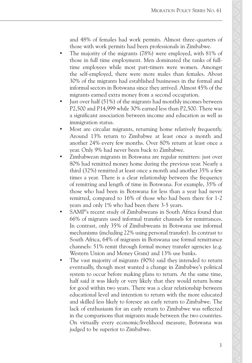and 48% of females had work permits. Almost three-quarters of those with work permits had been professionals in Zimbabwe.

- The majority of the migrants (78%) were employed, with 81% those in full time employment. Men dominated the ranks of full time employees while most part-timers were women. Among the self-employed, there were more males t those in full time employment. Men dominated the ranks of fulltime employees while most part-timers were women. Amongst the self-employed, there were more males than females. About 30% of the migrants had established businesses in the formal and informal sectors in Botswana since they arrived. Almost 45% of the migrants earned extra money from a second occupation. The majority of the migrants (78%) were employed, with 81% of
- $\bullet$  Just over half (51%) of the migrants had monthly incomes between P2,500 and P14,999 while 30% earned less than P2,500. There was a significant association between income and education as well as immigration status.
- Most are circular migrants, returning home relatively frequently. Around 13% return to Zimbabwe at least once a month and another 24% every few months. Over 80% return at least once a year. Only 9% had never been back to Zimbabwe.
	- Zimbabwean migrants in Botswana are regular remitters: just over 80% had remitted money home during the previous year. Nearly a third (32%) remitted at least once a month and another 35% a few times a year. There is a clear relationship between the frequency of remitting and length of time in Botswana. For example, 35% of those who had been in Botswana for less than a year had never remitted, compared to 16% of those who had been there for 1-2 years and only 1% who had been there 3-5 years.
- SAMP's recent study of Zimbabweans in South Africa found that 66% of migrants used informal transfer channels for remittances. In contrast, only 35% of Zimbabweans in Botswana use informal mechanisms (including 22% using personal transfer). In contrast to South Africa, 64% of migrants in Botswana use formal remittance channels: 51% remit through formal money transfer agencies (e.g. Western Union and Money Gram) and 13% use banks.
- The vast majority of migrants (90%) said they intended to return eventually, though most wanted a change in Zimbabwe's political system to occur before making plans to return. At the same time, half said it was likely or very likely that they would return home for good within two years. There was a clear relationship between educational level and intention to return with the more educated and skilled less likely to foresee an early return to Zimbabwe. The lack of enthusiasm for an early return to Zimbabwe was reflected in the comparisons that migrants made between the two countries. On virtually every economic/livelihood measure, Botswana was MIGRATION POLICY SERIES NO. 61<br>
mits. Almost three-quarters of<br>
professionals in Zimbabwe.<br>
(i) were employed, with 81% of<br>
(i) were employed, with 81% of<br>
(in mominated the ranks of full-<br>
trimers were women. Amongst<br>
ree and 48% of females had work permites. Almost three-quarters of those with work permits had been professionals in Zimbabwe.<br>The majority of the migrants (78%) were employed, with 81% of those in full time employens while m judged to be superior to Zimbabwe.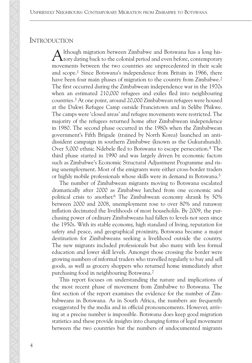### **INTRODUCTION**

Ithough migration between Zimbabwe and Botswana has a long his- $\Lambda$  tory dating back to the colonial period and even before, contemporary movements between the two countries are unprecedented in their scale and scope.1 Since Botswana's independence from Britain in 1966, there have been four main phases of migration to the country from Zimbabwe.<sup>2</sup> The first occurred during the Zimbabwean independence war in the 1970s when an estimated 210,000 refugees and exiles fled into neighbouring countries.3 At one point, around 20,000 Zimbabwean refugees were housed at the Dukwi Refugee Camp outside Francistown and in Selibe Phikwe. The camps were 'closed areas' and refugee movements were restricted. The majority of the refugees returned home after Zimbabwean independence in 1980. The second phase occurred in the 1980s when the Zimbabwean government's Fifth Brigade (trained by North Korea) launched an antidissident campaign in southern Zimbabwe (known as the Gukurahundi). Over 5,000 ethnic Ndebele fled to Botswana to escape persecution.4 The third phase started in 1990 and was largely driven by economic factors such as Zimbabwe's Economic Structural Adjustment Programme and rising unemployment. Most of the emigrants were either cross-border traders or highly mobile professionals whose skills were in demand in Botswana.5

The number of Zimbabwean migrants moving to Botswana escalated dramatically after 2000 as Zimbabwe lurched from one economic and political crisis to another.6 The Zimbabwean economy shrank by 50% between 2000 and 2008, unemployment rose to over 80% and runaway inflation decimated the livelihoods of most households. By 2009, the purchasing power of ordinary Zimbabweans had fallen to levels not seen since the 1950s. With its stable economy, high standard of living, reputation for safety and peace, and geographical proximity, Botswana became a major destination for Zimbabweans seeking a livelihood outside the country. The new migrants included professionals but also many with less formal education and lower skill levels. Amongst those crossing the border were growing numbers of informal traders who travelled regularly to buy and sell goods, as well as grocery shoppers who returned home immediately after purchasing food in neighbouring Botswana.7

This report focuses on understanding the nature and implications of the most recent phase of movement from Zimbabwe to Botswana. The first section of the report examines the evidence for the number of Zimbabweans in Botswana. As in South Africa, the numbers are frequently exaggerated by the media and in official pronouncements. However, arriving at a precise number is impossible. Botswana does keep good migration statistics and these provide insights into changing forms of legal movement between the two countries but the numbers of undocumented migrants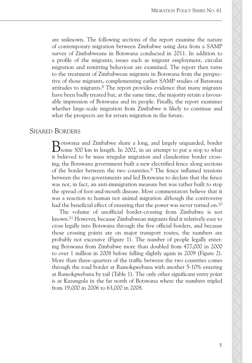are unknown. The following sections of the report examine the nature survey of Zimbabweans in Botswana conducted in 2011. In addition to<br>a profile of the migrants, issues such as migrant employment, circular<br>migration and remitting behaviour are examined. The report then turns<br>to the treatm a profile of the migrants, issues such as migrant employment, circular migration and remitting behaviour are examined. The report then turns to the treatment of Zimbabwean migrants in Botswana from the perspective of those migrants, complementing earlier SAMP studies of Batswana attitudes to migrants.<sup>8</sup> The report provides evidence that many migrants have been badly treated but, at the same time, the majority retain a favourable impression of Botswana and its people. Finally, the report examines whether large-scale migration from Zimbabwe is likely to continue and what the prospects are for return migration in the future. MIGRATION POLICY SERIES NO. 61<br>
WHORATION POLICY SERIES NO. 61<br>
The report examine the nature<br>
abwe using data from a SAMP<br>
migrant employment, circular<br>
mimined. The report then turns<br>
in Botswana from the perspec-<br>
lier of contemporary migration between Zimbabwe using data from a SAMP

## Shared Borders and issues concerning to the state  $\sim$

**fully** otswana and Zimbabwe share a long, and largely unguarded, border shows 500 km in length. In 2002, in an attempt to put a stop to what  $\mathbf D$ some 500 km in length. In 2002, in an attempt to put a stop to what it believed to be mass irregular migration and clandestine border crossing, the Botswana government built a new electrified fence along sections of the border between the two countries.<sup>9</sup> The fence inflamed tensions between the two governments and led Botswana to declare that the fence was not, in fact, an anti-immigration measure but was rather built to stop the spread of foot-and-mouth disease. Most commentators believe that it was a reaction to human not animal migration although the controversy had the beneficial effect of ensuring that the power was never turned on.<sup>10</sup>

The volume of unofficial border-crossing from Zimbabwe is not known.<sup>11</sup> However, because Zimbabwean migrants find it relatively easy to cross legally into Botswana through the five official borders, and because those crossing points are on major transport routes, the numbers are probably not excessive (Figure 1). The number of people legally entering Botswana from Zimbabwe more than doubled from 477,000 in 2000 to over 1 million in 2008 before falling slightly again in 2009 (Figure 2). More than three-quarters of the traffic between the two countries comes through the road border at Ramokgwebana with another 5-10% entering at Ramokgwebana by rail (Table 1). The only other significant entry point is at Kazungula in the far north of Botswana where the numbers tripled from 19,000 in 2006 to 63,000 in 2008. are unknown. The following sections of the report examine the nature who states and the report of Zimbabwe using data from a SAMP aperdatory of Zimbabwe using data from 2011. In addition to 2011, and the represent in Dots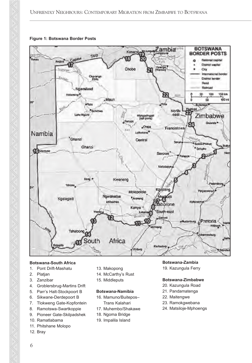#### **Figure 1: Botswana Border Posts**



#### **Botswana-South Africa**

- 1. Pont Drift-Mashatu
- 2. Platjan
- 3. Zanzibar
- 4. Groblersbrug-Martins Drift
- 5. Parr's Halt-Stockpoort B
- 6. Sikwane-Derdepoort B
- 7. Tlokweng Gate-Kopfontein
- 8. Ramotswa-Swartkoppie
- 9. Pioneer Gate-Skilpadshek
- 10. Ramatlabama
- 11. Phitshane Molopo
- 12. Bray
- 13. Makopong
- 14. McCarthy's Rust
- 15. Middleputs

#### **Botswana-Namibia**

- 16. Mamuno/Buitepos– Trans Kalahari
- 17. Muhembo/Shakawe
- 18. Ngoma Bridge
- 19. Impalila Island

#### **Botswana-Zambia**

19. Kazungula Ferry

#### **Botswana-Zimbabwe**

- 20. Kazungula Road
- 21. Pandamatenga
- 22. Maitengwe
- 23. Ramokgwebana
- 24. Matsiloje-Mphoengs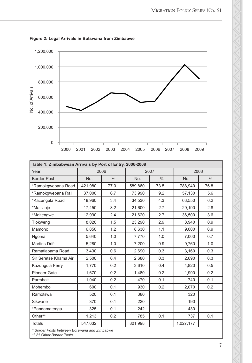

Figure 2: Legal Arrivals in Botswana from Zimbabwe

| Figure 2: Legal Arrivals in Botswana from Zimbabwe                                        |      |
|-------------------------------------------------------------------------------------------|------|
| 1,200,000                                                                                 |      |
|                                                                                           |      |
| 1,000,000                                                                                 |      |
| 800,000                                                                                   |      |
|                                                                                           |      |
| 600,000                                                                                   |      |
| No. of Arrivals<br>400,000                                                                |      |
|                                                                                           |      |
| 200,000                                                                                   |      |
|                                                                                           |      |
| $\mathsf 0$                                                                               |      |
| 2000<br>2001<br>2002<br>2004<br>2005<br>2006<br>2007<br>2008<br>2003                      | 2009 |
| Table 1: Zimbabwean Arrivals by Port of Entry, 2006-2008                                  |      |
| Year<br>2006<br>2007                                                                      | 2008 |
| $\frac{0}{0}$<br>$\frac{0}{0}$<br>No.<br><b>Border Post</b><br>No.<br>No.                 | $\%$ |
| *Ramokgwebana Road<br>421,980<br>73.5<br>77.0<br>589,860<br>788,940                       | 76.8 |
| *Ramokgwebana Rail<br>9.2<br>37,000<br>6.7<br>73,990<br>57,130                            | 5.6  |
| *Kazungula Road<br>4.3<br>18,960<br>3.4<br>34,530<br>63,550                               | 6.2  |
| 3.2<br>*Matsiloje<br>17,450<br>21,600<br>2.7<br>29,190                                    | 2.8  |
| 12,990<br>2.4<br>21,620<br>2.7<br>*Maitengwe<br>36,500                                    | 3.6  |
| 8,020<br>1.5<br>23,290<br>2.9<br>8,940<br>Tlokweng                                        | 0.9  |
| 1.2<br>1.1<br>9,000<br>Mamono<br>6,850<br>8,630                                           | 0.9  |
| 1.0<br>1.0<br>Ngoma<br>5,640<br>7,770<br>7,000                                            | 0.7  |
| Martins Drift<br>0.9<br>9,760<br>5,280<br>1.0<br>7,200                                    | 1.0  |
| Ramatlabama Road<br>0.6<br>0.3<br>3,430<br>2,690<br>3,160                                 | 0.3  |
| Sir Seretse Khama Air<br>0.4<br>0.3<br>2,690<br>2,500<br>2,680                            | 0.3  |
| Kazungula Ferry<br>0.2<br>0.4<br>1,770<br>3,610<br>4,820                                  | 0.5  |
| 0.2<br>$0.2\,$<br>Pioneer Gate<br>1,670<br>1,480<br>1,990                                 | 0.2  |
| 0.2<br>Parrshalt<br>1,040<br>470<br>0.1<br>740                                            | 0.1  |
| 0.1<br>$0.2\,$<br>2,070<br>Mohembo<br>600<br>930                                          | 0.2  |
| Ramotswa<br>520<br>0.1<br>380<br>320                                                      |      |
|                                                                                           |      |
| Sikwane<br>370<br>0.1<br>220<br>190                                                       |      |
| 0.1<br>430<br>*Pandamatenga<br>325<br>242                                                 |      |
| Other**<br>1,213<br>0.2<br>785<br>0.1<br>737<br>547,632<br>801,998<br>1,027,177<br>Totals | 0.1  |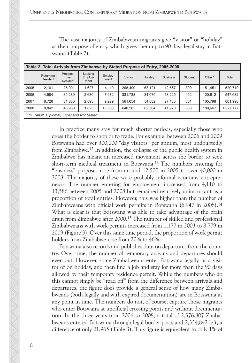|                       | swana (Table 2). |                    |                  |         |         | as their purpose of entry, which gives them up to 90 days legal stay in Bot- |                |        |       |
|-----------------------|------------------|--------------------|------------------|---------|---------|------------------------------------------------------------------------------|----------------|--------|-------|
|                       |                  |                    |                  |         |         | Table 2: Total Arrivals from Zimbabwe by Stated Purpose of Entry, 2005-2008  |                |        |       |
| Returning<br>Donidont | Prospec-<br>tive | Seeking<br>Employ- | Employ-<br>month | Visitor | Holidav | <b>Business</b>                                                              | <b>Student</b> | Other* | Total |

2005 | 2,161 | 25,901 | 1,627 | 4,110 | 268,490 | 63,121 | 12,557 | 300 | 151,451 | 529,719 2006 | 4,984 | 35,289 | 2,630 | 7,672 | 331,733 | 31,075 | 13,225 | 412 | 120,612 | 547,632 2007 | 8,726 | 31,880 | 2,893 | 9,229 | 561,654 | 54,082 | 27,135 | 601 | 105,798 | 801,998 2008 | 8,842 | 48,960 | 1,825 | 13,586 | 640,583 | 82,364 | 41,970 | 380 | 188,667 | 1,027,177

ment | Visitor | Holiday | Business | Student | Other\* | Total

The vast majority of Zimbabwean migrants give "visitor" or "holiday" as their purpose of entry, which gives them up to 90 days legal stay in Bot-

*\* In Transit, Diplomat, Other and Not Stated*

Resident

ment

Resident

In practice many stay for much shorter periods, especially those who cross the border to shop or to trade. For example, between 2006 and 2009 Botswana had over 300,000 "day visitors" per annum, most undoubtedly from Zimbabwe.12 In addition, the collapse of the public health system in Zimbabwe has meant an increased movement across the border to seek short-term medical treatment in Botswana.13 The numbers entering for "business" purposes rose from around 12,500 in 2005 to over 40,000 in 2008. The majority of these were probably informal economy entrepreneurs. The number entering for employment increased from 4,110 to 13,586 between 2005 and 2008 but remained relatively unimportant as a proportion of total entries. However, this was higher than the number of Zimbabweans with official work permits in Botswana (6,947 in 2008).14 What is clear is that Botswana was able to take advantage of the brain drain from Zimbabwe after 2000.15 The number of skilled and professional Zimbabweans with work permits increased from 1,177 in 2003 to 8,779 in 2009 (Figure 3). Over this same time period, the proportion of work permit holders from Zimbabwe rose from 20% to 46%.

Botswana also records and publishes data on departures from the country. Over time, the number of temporary arrivals and departures should even out. However, some Zimbabweans enter Botswana legally, as a visitor or on holiday, and then find a job and stay for more than the 90 days allowed by their temporary residence permit. While the numbers who do this cannot simply be "read off" from the difference between arrivals and departures, the figure does provide a general sense of how many Zimbabweans (both legally and with expired documentation) are in Botswana at any point in time. The numbers do not, of course, capture those migrants who enter Botswana at unofficial crossing points and without documentation. In the three years from 2006 to 2008, a total of 2,376,807 Zimbabweans entered Botswana through legal border posts and 2,354,842 left, a difference of only 21,965 (Table 3). This figure is equivalent to only 1% of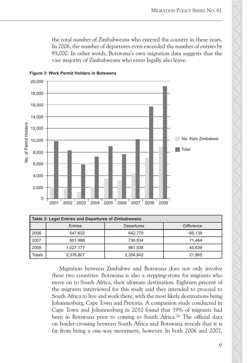the total number of Zimbabweans who entered the country in these years. 95,000. In other words, Botswana's own migration data suggests that the vast majority of Zimbabweans who enter legally also leave.<br>Nork Permit Holders in Botswana vast majority of Zimbabweans who enter legally also leave. In 2006, the number of departures even exceeded the number of entries by



| Table 3: Legal Entries and Departures of Zimbabweans |           |            |                   |  |  |
|------------------------------------------------------|-----------|------------|-------------------|--|--|
|                                                      | Entries   | Departures | <b>Difference</b> |  |  |
| 2006                                                 | 547.632   | 642.770    | $-95.138$         |  |  |
| 2007                                                 | 801.998   | 730.534    | 71.464            |  |  |
| 2008                                                 | 1.027.177 | 981.538    | 45.639            |  |  |
| <b>Totals</b>                                        | 2,376,807 | 2,354,842  | 21,965            |  |  |

Migration between Zimbabwe and Botswana does not only involve these two countries. Botswana is also a stepping-stone for migrants who move on to South Africa, their ultimate destination. Eighteen percent of the migrants interviewed for this study said they intended to proceed to South Africa to live and work there, with the most likely destinations being Johannesburg, Cape Town and Pretoria. A companion study conducted in Cape Town and Johannesburg in 2010 found that 19% of migrants had been in Botswana prior to coming to South Africa.<sup>16</sup> The official data on border-crossing between South Africa and Botswana reveals that it is far from being a one-way movement, however. In both 2006 and 2007,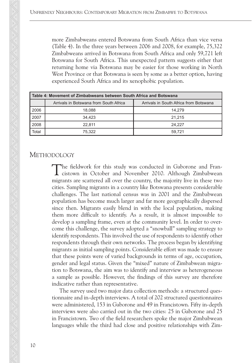more Zimbabweans entered Botswana from South Africa than vice versa (Table 4). In the three years between 2006 and 2008, for example, 75,322 Zimbabweans arrived in Botswana from South Africa and only 59,721 left Botswana for South Africa. This unexpected pattern suggests either that returning home via Botswana may be easier for those working in North West Province or that Botswana is seen by some as a better option, having experienced South Africa and its xenophobic population.

| Table 4: Movement of Zimbabweans between South Africa and Botswana |                                        |                                        |  |  |  |
|--------------------------------------------------------------------|----------------------------------------|----------------------------------------|--|--|--|
|                                                                    | Arrivals in Botswana from South Africa | Arrivals in South Africa from Botswana |  |  |  |
| 2006                                                               | 18.088                                 | 14.279                                 |  |  |  |
| 2007                                                               | 34.423                                 | 21.215                                 |  |  |  |
| 2008                                                               | 22.811                                 | 24.227                                 |  |  |  |
| Total                                                              | 75.322                                 | 59.721                                 |  |  |  |

# **METHODOLOGY**

The fieldwork for this study was conducted in Gaborone and Fran-cistown in October and November 2010. Although Zimbabwean migrants are scattered all over the country, the majority live in these two cities. Sampling migrants in a country like Botswana presents considerable challenges. The last national census was in 2001 and the Zimbabwean population has become much larger and far more geographically dispersed since then. Migrants easily blend in with the local population, making them more difficult to identify. As a result, it is almost impossible to develop a sampling frame, even at the community level. In order to overcome this challenge, the survey adopted a "snowball" sampling strategy to identify respondents. This involved the use of respondents to identify other respondents through their own networks. The process began by identifying migrants as initial sampling points. Considerable effort was made to ensure that these points were of varied backgrounds in terms of age, occupation, gender and legal status. Given the "mixed" nature of Zimbabwean migration to Botswana, the aim was to identify and interview as heterogeneous a sample as possible. However, the findings of this survey are therefore indicative rather than representative.

The survey used two major data collection methods: a structured questionnaire and in-depth interviews. A total of 202 structured questionnaires were administered, 153 in Gaborone and 49 in Francistown. Fifty in-depth interviews were also carried out in the two cities: 25 in Gaborone and 25 in Francistown. Two of the field researchers spoke the major Zimbabwean languages while the third had close and positive relationships with Zim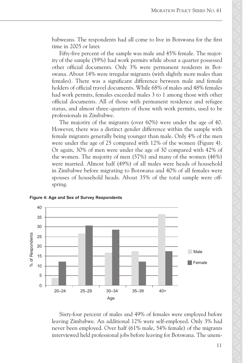babweans. The respondents had all come to live in Botswana for the first time in 2005 or later.

Fifty-five percent of the sample was male and 45% female. The majo<br>ity of the sample (59%) had work permits while about a quarter possesse<br>other official documents. Only 3% were permanent residents in Bo<br>swana. About 14% w ity of the sample (59%) had work permits while about a quarter possessed other official documents. Only 3% were permanent residents in Botswana. About 14% were irregular migrants (with slightly more males than females). There was a significant difference between male and female holders of official travel documents. While 68% of males and 48% females had work permits, females exceeded males 3 to 1 among those with other official documents. All of those with permanent residence and refugee status, and almost three-quarters of those with work permits, used to be professionals in Zimbabwe. Fifty-five percent of the sample was male and 45% female. The major-

The majority of the migrants (over 60%) were under the age of 40. However, there was a distinct gender difference within the sample with female migrants generally being younger than male. Only 4% of the men were under the age of 25 compared with 12% of the women (Figure 4). Or again, 30% of men were under the age of 30 compared with 42% of the women. The majority of men (57%) and many of the women (46%) were married. Almost half (49%) of all males were heads of household in Zimbabwe before migrating to Botswana and 40% of all females were spouses of household heads. About 35% of the total sample were offspring.



 $\overline{S}$  and  $\overline{S}$  and  $\overline{S}$  interventions interventions in the questions interventions in the  $\overline{S}$ Sixty-four percent of males and 49% of females were employed before leaving Zimbabwe. An additional 12% were self-employed. Only 3% had never been employed. Over half (61% male, 54% female) of the migrants interviewed held professional jobs before leaving for Botswana. The unem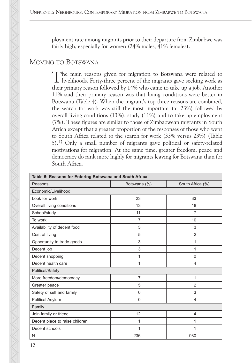ployment rate among migrants prior to their departure from Zimbabwe was fairly high, especially for women (24% males, 41% females).

# MOVING TO BOTSWANA

The main reasons given for migration to Botswana were related to livelihoods. Forty-three percent of the migrants gave seeking work as their primary reason followed by 14% who came to take up a job. Another 11% said their primary reason was that living conditions were better in Botswana (Table 4). When the migrant's top three reasons are combined, the search for work was still the most important (at 23%) followed by overall living conditions (13%), study (11%) and to take up employment (7%). These figures are similar to those of Zimbabwean migrants in South Africa except that a greater proportion of the responses of those who went to South Africa related to the search for work (33% versus 23%) (Table 5).17 Only a small number of migrants gave political or safety-related motivations for migration. At the same time, greater freedom, peace and democracy do rank more highly for migrants leaving for Botswana than for South Africa.

| Table 5: Reasons for Entering Botswana and South Africa |                |                  |  |  |  |  |
|---------------------------------------------------------|----------------|------------------|--|--|--|--|
| Reasons                                                 | Botswana (%)   | South Africa (%) |  |  |  |  |
| Economic/Livelihood                                     |                |                  |  |  |  |  |
| Look for work                                           | 23             | 33               |  |  |  |  |
| Overall living conditions                               | 13             | 18               |  |  |  |  |
| School/study                                            | 11             | 7                |  |  |  |  |
| To work                                                 | 7              | 10               |  |  |  |  |
| Availability of decent food                             | 5              | 3                |  |  |  |  |
| Cost of living                                          | 5              | $\overline{2}$   |  |  |  |  |
| Opportunity to trade goods                              | 3              | 1                |  |  |  |  |
| Decent job                                              | 3              | 1                |  |  |  |  |
| Decent shopping                                         | 1              | 0                |  |  |  |  |
| Decent health care                                      | 1              | 4                |  |  |  |  |
| Political/Safety                                        |                |                  |  |  |  |  |
| More freedom/democracy                                  | $\overline{7}$ | 1                |  |  |  |  |
| Greater peace                                           | 5              | $\overline{2}$   |  |  |  |  |
| Safety of self and family                               | $\Omega$       | 3                |  |  |  |  |
| Political Asylum                                        | $\Omega$       | 4                |  |  |  |  |
| Family                                                  |                |                  |  |  |  |  |
| Join family or friend                                   | 12             | 4                |  |  |  |  |
| Decent place to raise children                          | 1              | 1                |  |  |  |  |
| Decent schools                                          | 1              | 1                |  |  |  |  |
| N                                                       | 236            | 930              |  |  |  |  |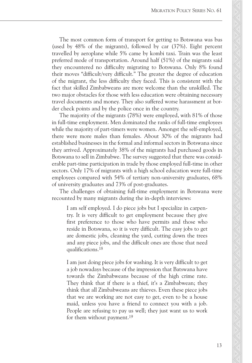The most common form of transport for getting to Botswana was bus travelled by aeroplane while 5% came by kombi taxi. Train was the lea<br>preferred mode of transportation. Around half (51%) of the migrants sa<br>they encountered no difficulty migrating to Botswana. Only 8% four<br>their moves "d preferred mode of transportation. Around half (51%) of the migrants said they encountered no difficulty migrating to Botswana. Only 8% found their moves "difficult/very difficult." The greater the degree of education of the migrant, the less difficulty they faced. This is consistent with the fact that skilled Zimbabweans are more welcome than the unskilled. The two major obstacles for those with less education were obtaining necessary travel documents and money. They also suffered worse harassment at border check points and by the police once in the country. MIGRATION POLICY SERIES NO. 61<br>
To getting to Botswana was bus<br>
If by car (37%). Eight percent<br>
kombi taxi. Train was the least<br>
had (51%) of the migrants said<br>
to Botswana. Only 8% found<br>
ed. This is consistent with the<br> The most common form of transport for getting to Botswana was bused<br>(ed by 48% of the migrantic), followed by car (37%). Eight percent<br>celelel by acrophane while 5% came by kombi taxi. Train was the least<br>ferred mode of t (used by 48% of the migrants), followed by car (37%). Eight percent travelled by aeroplane while 5% came by kombi taxi. Train was the least

The majority of the migrants (78%) were employed, with 81% of those in full-time employment. Men dominated the ranks of full-time employees while the majority of part-timers were women. Amongst the self-employed, there were more males than females. About 30% of the migrants had established businesses in the formal and informal sectors in Botswana since they arrived. Approximately 38% of the migrants had purchased goods in Botswana to sell in Zimbabwe. The survey suggested that there was considerable part-time participation in trade by those employed full-time in other sectors. Only 17% of migrants with a high school education were full-time employees compared with 54% of tertiary non-university graduates, 68% of university graduates and 73% of post-graduates.

The challenges of obtaining full-time employment in Botswana were recounted by many migrants during the in-depth interviews:

I am self employed. I do piece jobs but I specialize in carpentry. It is very difficult to get employment because they give first preference to those who have permits and those who reside in Botswana, so it is very difficult. The easy jobs to get are domestic jobs, cleaning the yard, cutting down the trees and any piece jobs, and the difficult ones are those that need qualifications.<sup>18</sup> debates about the migration of skilled health professionals with professionals within a strong  $\mathcal{L}$ 

I am just doing piece jobs for washing. It is very difficult to get a job nowadays because of the impression that Batswana have towards the Zimbabweans because of the high crime rate. They think that if there is a thief, it's a Zimbabwean; they think that all Zimbabweans are thieves. Even these piece jobs that we are working are not easy to get, even to be a house maid, unless you have a friend to connect you with a job. People are refusing to pay us well; they just want us to work for them without payment.<sup>19</sup>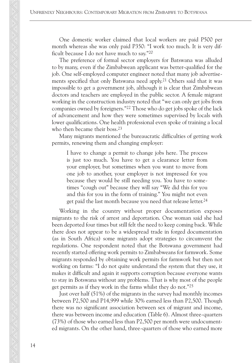One domestic worker claimed that local workers are paid P500 per month whereas she was only paid P350: "I work too much. It is very difficult because I do not have much to say."20

The preference of formal sector employers for Batswana was alluded to by many, even if the Zimbabwean applicant was better-qualified for the job. One self-employed computer engineer noted that many job advertisements specified that only Batswana need apply.21 Others said that it was impossible to get a government job, although it is clear that Zimbabwean doctors and teachers are employed in the public sector. A female migrant working in the construction industry noted that "we can only get jobs from companies owned by foreigners."22 Those who do get jobs spoke of the lack of advancement and how they were sometimes supervised by locals with lower qualifications. One health professional even spoke of training a local who then became their boss.<sup>23</sup>

Many migrants mentioned the bureaucratic difficulties of getting work permits, renewing them and changing employer:

I have to change a permit to change jobs here. The process is just too much. You have to get a clearance letter from your employer, but sometimes when you want to move from one job to another, your employer is not impressed for you because they would be still needing you. You have to sometimes "cough out" because they will say "We did this for you and this for you in the form of training." You might not even get paid the last month because you need that release letter.<sup>24</sup>

Working in the country without proper documentation exposes migrants to the risk of arrest and deportation. One woman said she had been deported four times but still felt the need to keep coming back. While there does not appear to be a widespread trade in forged documentation (as in South Africa) some migrants adopt strategies to circumvent the regulations. One respondent noted that the Botswana government had recently started offering work permits to Zimbabweans for farmwork. Some migrants responded by obtaining work permits for farmwork but then not working on farms: "I do not quite understand the system that they use, it makes it difficult and again it supports corruption because everyone wants to stay in Botswana without any problems. That is why most of the people get permits as if they work in the farms whilst they do not."25

Just over half (51%) of the migrants in the survey had monthly incomes between P2,500 and P14,999 while 30% earned less than P2,500. Though there was no significant association between sex of migrant and income, there was between income and education (Table 6). Almost three-quarters (73%) of those who earned less than P2,500 per month were undocumented migrants. On the other hand, three-quarters of those who earned more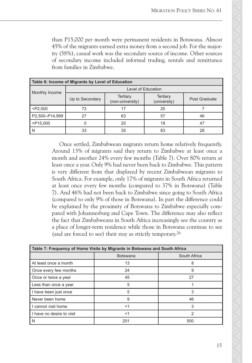than P15,000 per month were permanent residents in Botswana. Almost ity (58%), casual work was the secondary source of income. Other sources<br>of secondary income included informal trading, rentals and remittance<br>from families in Zimbabwe.<br>**Come of Migrants by Level of Education** of secondary income included informal trading, rentals and remittance from families in Zimbabwe. 45% of the migrants earned extra money from a second job. For the major-

|                | Table 6: Income of Migrants by Level of Education |                                     |                                 |               |  |  |  |
|----------------|---------------------------------------------------|-------------------------------------|---------------------------------|---------------|--|--|--|
| Monthly Income |                                                   | Level of Education                  |                                 |               |  |  |  |
|                | Up to Secondary                                   | <b>Tertiary</b><br>(non-university) | <b>Tertiary</b><br>(university) | Post Graduate |  |  |  |
| $<$ P2,500     | 73                                                | 17                                  | 25                              |               |  |  |  |
| P2,500-P14,999 | 27                                                | 63                                  | 57                              | 46            |  |  |  |
| $>$ P15,000    |                                                   | 20                                  | 18                              | -47           |  |  |  |
| N              | 33                                                | 35                                  | 83                              | 28            |  |  |  |

Once settled, Zimbabwean migrants return home relatively frequently. Around 13% of migrants said they return to Zimbabwe at least once a month and another 24% every few months (Table 7). Over 80% return at least once a year. Only 9% had never been back to Zimbabwe. This pattern is very different from that displayed by recent Zimbabwean migrants to South Africa. For example, only 17% of migrants in South Africa returned at least once every few months (compared to 37% in Botswana) (Table 7). And 46% had not been back to Zimbabwe since going to South Africa (compared to only 9% of those in Botswana). In part the difference could be explained by the proximity of Botswana to Zimbabwe especially compared with Johannesburg and Cape Town. The difference may also reflect the fact that Zimbabweans in South Africa increasingly see the country as a place of longer-term residence while those in Botswana continue to see (and are forced to see) their stay as strictly temporary.<sup>26</sup> MIGRATION POLICY SERIES NO. 61<br>
residents in Botswana. Almost<br>
residents in Botswana. Almost<br>
om a second job. For the major-<br>
ourier of income. Other sources<br>
radius<br>
residents<br>
(university) Post Graduate<br>
75<br>
57<br>
67<br>
67<br> 115,000 per month were permanent residents in Botswana. Almost<br>
than P15,000 per month were been monter from a second job. For the major-<br>
145% of the migrants cannot extra more prom a secondary box the superior<br>
of secon

| Table 7: Frequency of Home Visits by Migrants in Botswana and South Africa |                 |              |  |  |  |
|----------------------------------------------------------------------------|-----------------|--------------|--|--|--|
|                                                                            | <b>Botswana</b> | South Africa |  |  |  |
| At least once a month                                                      | 13              | 8            |  |  |  |
| Once every few months                                                      | 24              | 9            |  |  |  |
| Once or twice a year                                                       | 45              | 27           |  |  |  |
| Less than once a year                                                      | 5               |              |  |  |  |
| I have been just once                                                      | 5               | 3            |  |  |  |
| Never been home                                                            | 9               | 46           |  |  |  |
| I cannot visit home                                                        | $<$ 1           | 3            |  |  |  |
| I have no desire to visit                                                  | $<$ 1           | 2            |  |  |  |
| N                                                                          | 201             | 500          |  |  |  |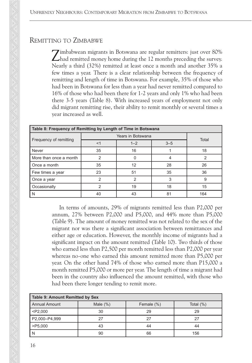# REMITTING TO ZIMBABWE

Zimbabwean migrants in Botswana are regular remitters: just over 80% had remitted money home during the 12 months preceding the survey. Nearly a third (32%) remitted at least once a month and another 35% a few times a year. There is a clear relationship between the frequency of remitting and length of time in Botswana. For example, 35% of those who had been in Botswana for less than a year had never remitted compared to 16% of those who had been there for 1-2 years and only 1% who had been there 3-5 years (Table 8). With increased years of employment not only did migrant remitting rise, their ability to remit monthly or several times a year increased as well.

| Table 8: Frequency of Remitting by Length of Time in Botswana |                   |               |         |     |  |  |
|---------------------------------------------------------------|-------------------|---------------|---------|-----|--|--|
|                                                               | Years in Botswana | Total         |         |     |  |  |
| Frequency of remitting                                        | $<$ 1             | $1 - 2$       | $3 - 5$ |     |  |  |
| Never                                                         | 35                | 16            |         | 18  |  |  |
| More than once a month                                        | 2                 | 0             | 4       | 2   |  |  |
| Once a month                                                  | 35                | 12            | 28      | 26  |  |  |
| Few times a year                                              | 23                | 51            | 35      | 36  |  |  |
| Once a year                                                   | $\mathcal{P}$     | $\mathcal{P}$ | 3       | 9   |  |  |
| Occasionally                                                  | 2                 | 19            | 18      | 15  |  |  |
| N                                                             | 40                | 43            | 81      | 164 |  |  |

In terms of amounts, 29% of migrants remitted less than P2,000 per annum, 27% between P2,000 and P5,000, and 44% more than P5,000 (Table 9). The amount of money remitted was not related to the sex of the migrant nor was there a significant association between remittances and either age or education. However, the monthly income of migrants had a significant impact on the amount remitted (Table 10). Two thirds of those who earned less than P2,500 per month remitted less than P2,000 per year whereas no-one who earned this amount remitted more than P5,000 per year. On the other hand 74% of those who earned more than P15,000 a month remitted P5,000 or more per year. The length of time a migrant had been in the country also influenced the amount remitted, with those who had been there longer tending to remit more.

| Table 9: Amount Remitted by Sex |             |            |              |  |  |  |
|---------------------------------|-------------|------------|--------------|--|--|--|
| Annual Amount                   | Male $(\%)$ | Female (%) | Total $(\%)$ |  |  |  |
| $<$ P2,000                      | 30          | 29         | 29           |  |  |  |
| P2,000-P4,999                   | 27          | 27         |              |  |  |  |
| $>$ P5.000                      | 43          | 44         | 44           |  |  |  |
| N                               | 90          | 66         | 156          |  |  |  |

16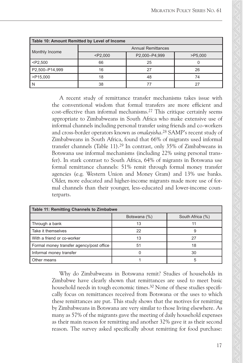| Table 10: Amount Remitted by Level of Income |                           |               |            |  |
|----------------------------------------------|---------------------------|---------------|------------|--|
|                                              | <b>Annual Remittances</b> |               |            |  |
| Monthly Income                               | $<$ P2,000                | P2,000-P4,999 | $>$ P5,000 |  |
| $<$ P2,500                                   | 66                        | 25            |            |  |
| P2,500-P14,999                               | 16                        | 27            | 26         |  |
| >P15,000                                     | 18                        | 48            | 74         |  |
| N                                            | 38                        | 77            | 27         |  |
|                                              |                           |               |            |  |

A recent study of remittance transfer mechanisms takes issue with the conventional wisdom that formal transfers are more efficient and cost-effective than informal mechanisms.<sup>27</sup> This critique certainly seems appropriate to Zimbabweans in South Africa who make extensive use of informal channels including personal transfer using friends and co-workers and cross-border operators known as *omalayisha*.<sup>28</sup> SAMP's recent study of Zimbabweans in South Africa, found that 66% of migrants used informal transfer channels (Table 11).<sup>29</sup> In contrast, only 35% of Zimbabweans in Botswana use informal mechanisms (including 22% using personal transfer). In stark contrast to South Africa, 64% of migrants in Botswana use formal remittance channels: 51% remit through formal money transfer agencies (e.g. Western Union and Money Gram) and 13% use banks. Older, more educated and higher-income migrants made more use of formal channels than their younger, less-educated and lower-income counprivate recruiting enterprises. MIGRATION POLICY SERIES NO. 61<br>
THIMITENDES<br>
THIMITENDES<br>
THIMITENS<br>
THIMITENS<br>
THIMITENS<br>
THIMITENS<br>
THIMITENS TRIS CITE<br>
THIMITENS TRIS CITE<br>
THIMITENS TRIS CITE<br>
THIMITENS TRIS CITE (THIMITENS USE)<br>
THIMITENS WAS COMPRO **Table 10: Amount Remitted by Level of Income<br>
Normal Remittances<br>
Normal Remittances<br>
PES,000<br>
PES,000<br>
PES,000<br>
PES,000<br>
TES,000<br>
TES,000<br>
TES,000<br>
TES,000<br>
TES,000<br>
TES,000<br>
TES,000<br>
TES,000<br>
TES,000<br>
TES,000<br>
TES,000<br>** terparts.

| Table 11: Remitting Channels to Zimbabwe |              |                  |  |  |
|------------------------------------------|--------------|------------------|--|--|
|                                          | Botswana (%) | South Africa (%) |  |  |
| Through a bank                           | 13           | 11               |  |  |
| Take it themselves                       | 22           | 9                |  |  |
| With a friend or co-worker               | 13           | 27               |  |  |
| Formal money transfer agency/post office | 51           | 18               |  |  |
| Informal money transfer                  |              | 30               |  |  |
| Other means                              |              | 5                |  |  |

Section Three reviews research on the global circulation of health pro-Why do Zimbabweans in Botswana remit? Studies of households in Zimbabwe have clearly shown that remittances are used to meet basic household needs in tough economic times.<sup>30</sup> None of these studies specifically focus on remittances received from Botswana or the uses to which these remittances are put. This study shows that the motives for remitting by Zimbabweans in Botswana are very similar to those living elsewhere. As many as 57% of the migrants gave the meeting of daily household expenses as their main reason for remitting and another 32% gave it as their second reason. The survey asked specifically about remitting for food purchase: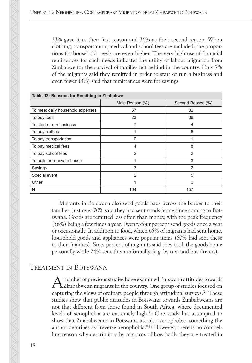23% gave it as their first reason and 36% as their second reason. When clothing, transportation, medical and school fees are included, the proportions for household needs are even higher. The very high use of financial remittances for such needs indicates the utility of labour migration from Zimbabwe for the survival of families left behind in the country. Only 7% of the migrants said they remitted in order to start or run a business and even fewer (3%) said that remittances were for savings.

| Table 12: Reasons for Remitting to Zimbabwe |                 |                   |  |
|---------------------------------------------|-----------------|-------------------|--|
|                                             | Main Reason (%) | Second Reason (%) |  |
| To meet daily household expenses            | 57              | 32                |  |
| To buy food                                 | 23              | 36                |  |
| To start or run business                    | 7               | 4                 |  |
| To buy clothes                              |                 | 6                 |  |
| To pay transportation                       |                 |                   |  |
| To pay medical fees                         | 4               | 8                 |  |
| To pay school fees                          | 2               | 2                 |  |
| To build or renovate house                  |                 | 3                 |  |
| Savings                                     | 3               | $\overline{2}$    |  |
| Special event                               | $\mathfrak{p}$  | 5                 |  |
| Other                                       |                 | U                 |  |
| N                                           | 164             | 157               |  |

Migrants in Botswana also send goods back across the border to their families. Just over 70% said they had sent goods home since coming to Botswana. Goods are remitted less often than money, with the peak frequency (36%) being a few times a year. Twenty-four percent send goods once a year or occasionally. In addition to food, which 65% of migrants had sent home, household goods and appliances were popular items (60% had sent these to their families). Sixty percent of migrants said they took the goods home personally while 24% sent them informally (e.g. by taxi and bus drivers).

# TREATMENT IN BOTSWANA

A number of previous studies have examined Batswana attitudes towards Zimbabwean migrants in the country. One group of studies focused on capturing the views of ordinary people through attitudinal surveys.<sup>31</sup> These studies show that public attitudes in Botswana towards Zimbabweans are not that different from those found in South Africa, where documented levels of xenophobia are extremely high.32 One study has attempted to show that Zimbabweans in Botswana are also xenophobic, something the author describes as "reverse xenophobia."33 However, there is no compelling reason why descriptions by migrants of how badly they are treated in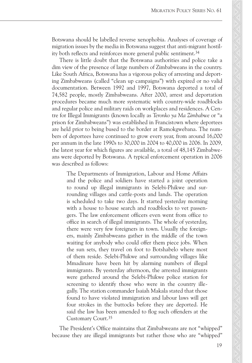Botswana should be labelled reverse xenophobia. Analyses of coverage of migration issues by the media in Botswana suggest that anti-migrant hostility both reflects and reinforces more general public sentiment.34

ity both reflects and reinforces more general public sentiment.<sup>34</sup><br>There is little doubt that the Botswana authorities and police take<br>dim view of the presence of large numbers of Zimbabweans in the countr<br>Like South Afri There is little doubt that the Botswana authorities and police take a dim view of the presence of large numbers of Zimbabweans in the country. Like South Africa, Botswana has a vigorous policy of arresting and deporting Zimbabweans (called "clean up campaigns") with expired or no valid documentation. Between 1992 and 1997, Botswana deported a total of 74,582 people, mostly Zimbabweans. After 2000, arrest and deportation procedures became much more systematic with country-wide roadblocks and regular police and military raids on workplaces and residences. A Centre for Illegal Immigrants (known locally as *Teronko ya Ma Zimbabwe* or "a prison for Zimbabweans") was established in Francistown where deportees are held prior to being bused to the border at Ramokgwebana. The numbers of deportees have continued to grow every year, from around 16,000 per annum in the late 1990s to 30,000 in 2004 to 40,000 in 2006. In 2009, the latest year for which figures are available, a total of 48,145 Zimbabweans were deported by Botswana. A typical enforcement operation in 2006 was described as follows:

The Departments of Immigration, Labour and Home Affairs and the police and soldiers have started a joint operation to round up illegal immigrants in Selebi-Phikwe and surrounding villages and cattle-posts and lands. The operation is scheduled to take two days. It started yesterday morning with a house to house search and roadblocks to vet passengers. The law enforcement officers even went from office to office in search of illegal immigrants. The whole of yesterday,  $\overline{\phantom{a}}$ there were very few foreigners in town. Usually the foreigners, mainly Zimbabweans gather in the middle of the town waiting for anybody who could offer them piece jobs. When the sun sets, they travel on foot to Botshabelo where most of them reside. Selebi-Phikwe and surrounding villages like Mmadinare have been hit by alarming numbers of illegal immigrants. By yesterday afternoon, the arrested immigrants were gathered around the Selebi-Phikwe police station for screening to identify those who were in the country illegally. The station commander Isaiah Makala stated that those found to have violated immigration and labour laws will get four strokes in the buttocks before they are deported. He said the law has been amended to flog such offenders at the Customary Court.<sup>35</sup> MIGRATION POLICY SERIES NO. 61<br>
bloobia. Analyses of coverage of<br>
suggest that anti-migrant hostillal<br>
a authorities and police take a<br>
a authorities and police take a<br>
of Zimbabweans in the country.<br>
spolicy of arresting Botswana should be labelled reverse xenophobia. Analyses of coverage of coverage of coverage of coverage of coverage of the best<br>signation issues the media in Botswana suggest that anti-migrant hesil-<br>typoth relects and p

recruitment of foreign health professionals to work in South Africa. The The President's Office maintains that Zimbabweans are not "whipped" because they are illegal immigrants but rather those who are "whipped"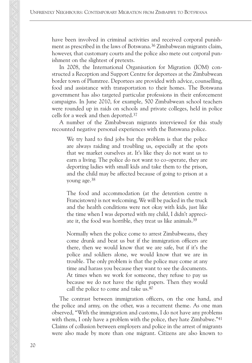have been involved in criminal activities and received corporal punishment as prescribed in the laws of Botswana.<sup>36</sup> Zimbabwean migrants claim, however, that customary courts and the police also mete out corporal punishment on the slightest of pretexts.

In 2008, the International Organisation for Migration (IOM) constructed a Reception and Support Centre for deportees at the Zimbabwean border town of Plumtree. Deportees are provided with advice, counselling, food and assistance with transportation to their homes. The Botswana government has also targeted particular professions in their enforcement campaigns. In June 2010, for example, 500 Zimbabwean school teachers were rounded up in raids on schools and private colleges, held in police cells for a week and then deported.37

A number of the Zimbabwean migrants interviewed for this study recounted negative personal experiences with the Batswana police.

We try hard to find jobs but the problem is that the police are always raiding and troubling us, especially at the spots that we market ourselves at. It's like they do not want us to earn a living. The police do not want to co-operate, they are deporting ladies with small kids and take them to the prison, and the child may be affected because of going to prison at a young age.38

The food and accommodation (at the detention centre n Francistown) is not welcoming, We will be packed in the truck and the health conditions were not okay with kids, just like the time when I was deported with my child, I didn't appreciate it, the food was horrible, they treat us like animals.39

Normally when the police come to arrest Zimbabweans, they come drunk and beat us but if the immigration officers are there, then we would know that we are safe, but if it's the police and soldiers alone, we would know that we are in trouble. The only problem is that the police may come at any time and harass you because they want to see the documents. At times when we work for someone, they refuse to pay us because we do not have the right papers. Then they would call the police to come and take us.40

The contrast between immigration officers, on the one hand, and the police and army, on the other, was a recurrent theme. As one man observed, "With the immigration and customs, I do not have any problems with them, I only have a problem with the police, they hate Zimbabwe."<sup>41</sup> Claims of collusion between employers and police in the arrest of migrants were also made by more than one migrant. Citizens are also known to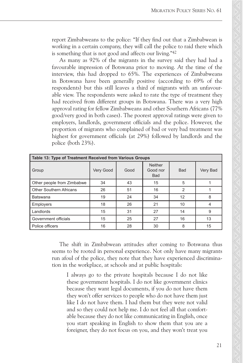report Zimbabweans to the police: "If they find out that a Zimbabwean is working in a certain company, they will call the police to raid there which is something that is not good and affects our living."42

is something that is not good and affects our living."42<br>As many as 92% of the migrants in the survey said they had had<br>favourable impression of Botswana prior to moving. At the time of th<br>interview, this had dropped to 65 As many as 92% of the migrants in the survey said they had had a favourable impression of Botswana prior to moving. At the time of the interview, this had dropped to 65%. The experiences of Zimbabweans in Botswana have been generally positive (according to 69% of the respondents) but this still leaves a third of migrants with an unfavourable view. The respondents were asked to rate the type of treatment they had received from different groups in Botswana. There was a very high approval rating for fellow Zimbabweans and other Southern Africans (77% good/very good in both cases). The poorest approval ratings were given to employers, landlords, government officials and the police. However, the proportion of migrants who complained of bad or very bad treatment was highest for government officials (at 29%) followed by landlords and the police (both 23%). MIGRATION POLICY SERIES NO. 61<br>
find out that a Zimbabwean is<br>
the survey sid they had had a<br>
ur living."<sup>42</sup><br>
the survey sid they had had a<br>
to moving. At the time of the<br>
experiences of Zimbabweans<br>
rec (according to 69% report Zimbabweans to the police: "If they find out that 2 Zimbabwean is to something that is not cool and affects out line  $^{42}$ <br>
is Amany as 92% of the migrants in the gauve said they had had a favourable impression of

| Table 13: Type of Treatment Received from Various Groups |           |      |                                          |            |          |
|----------------------------------------------------------|-----------|------|------------------------------------------|------------|----------|
| Group                                                    | Very Good | Good | <b>Neither</b><br>Good nor<br><b>Bad</b> | <b>Bad</b> | Very Bad |
| Other people from Zimbabwe                               | 34        | 43   | 15                                       | 5          |          |
| <b>Other Southern Africans</b>                           | 26        | 51   | 16                                       | 2          |          |
| <b>Batswana</b>                                          | 19        | 24   | 34                                       | 12         | 8        |
| <b>Employers</b>                                         | 18        | 26   | 21                                       | 10         | 4        |
| Landlords                                                | 15        | 31   | 27                                       | 14         | 9        |
| Government officials                                     | 15        | 25   | 27                                       | 16         | 13       |
| Police officers                                          | 16        | 28   | 30                                       | 8          | 15       |

The shift in Zimbabwean attitudes after coming to Botswana thus The since in Embabwean actitudes are colling to Botsward thus<br>seems to be rooted in personal experience. Not only have many migrants geens to be footed in personal experience. For only have many ingrafies run afoul of the police, they note that they have experienced discriminarun arour or the police, they note that they have experienced ulse.<br>time in the modulate of talents of talent. It is talent. tion in the workplace, at schools and at public hospitals:

I always go to the private hospitals because I do not like these government hospitals. I do not like government clinics because they want legal documents, if you do not have them they won't offer services to people who do not have them just like I do not have them. I had them but they were not valid and so they could not help me. I do not feel all that comfortable because they do not like communicating in English, once you start speaking in English to show them that you are a foreigner, they do not focus on you, and they won't treat you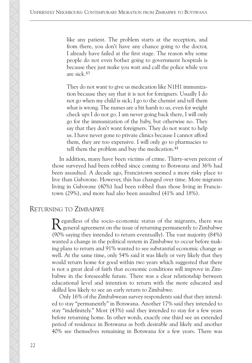like any patient. The problem starts at the reception, and from there, you don't have any chance going to the doctor, I already have failed at the first stage. The reason why some people do not even bother going to government hospitals is because they just make you wait and call the police while you are sick.43

They do not want to give us medication like N1H1 immunization because they say that it is not for foreigners. Usually I do not go when my child is sick; I go to the chemist and tell them what is wrong. The nurses are a bit harsh to us, even for weight check ups I do not go. I am never going back there, I will only go for the immunization of the baby, but otherwise no. They say that they don't want foreigners. They do not want to help us. I have never gone to private clinics because I cannot afford them, they are too expensive. I will only go to pharmacies to tell them the problem and buy the medication.<sup>44</sup>

In addition, many have been victims of crime. Thirty-seven percent of those surveyed had been robbed since coming to Botswana and 36% had been assaulted. A decade ago, Francistown seemed a more risky place to live than Gaborone. However, this has changed over time. More migrants living in Gaborone (40%) had been robbed than those living in Francistown (29%), and more had also been assaulted (41% and 18%).

#### RETURNING TO ZIMBABWE

Regardless of the socio-economic status of the migrants, there was general agreement on the issue of returning permanently to Zimbabwe (90% saying they intended to return eventually). The vast majority (84%) wanted a change in the political system in Zimbabwe to occur before making plans to return and 91% wanted to see substantial economic change as well. At the same time, only 54% said it was likely or very likely that they would return home for good within two years which suggested that there is not a great deal of faith that economic conditions will improve in Zimbabwe in the foreseeable future. There was a clear relationship between educational level and intention to return with the more educated and skilled less likely to see an early return to Zimbabwe.

Only 16% of the Zimbabwean survey respondents said that they intended to stay "permanently" in Botswana. Another 17% said they intended to stay "indefinitely." Most (43%) said they intended to stay for a few years before returning home. In other words, exactly one third see an extended period of residence in Botswana as both desirable and likely and another 40% see themselves remaining in Botswana for a few years. There was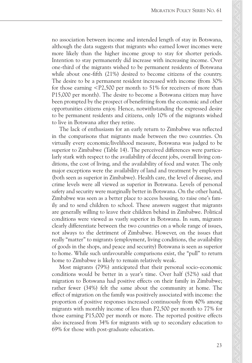no association between income and intended length of stay in Botswana, more likely than the higher income group to stay for shorter period<br>Intention to stay permanently did increase with increasing income. Ove<br>one-third of the migrants wished to be permanent residents of Botswar<br>while about o Intention to stay permanently did increase with increasing income. Over one-third of the migrants wished to be permanent residents of Botswana while about one-fifth (21%) desired to become citizens of the country. The desire to be a permanent resident increased with income (from 30% for those earning  $\langle P2,500 \rangle$  per month to 51% for receivers of more than P15,000 per month). The desire to become a Botswana citizen may have been prompted by the prospect of benefitting from the economic and other opportunities citizens enjoy. Hence, notwithstanding the expressed desire to be permanent residents and citizens, only 10% of the migrants wished to live in Botswana after they retire. although the data suggests that migrants who earned lower incomes were more likely than the higher income group to stay for shorter periods.

The lack of enthusiasm for an early return to Zimbabwe was reflected in the comparisons that migrants made between the two countries. On virtually every economic/livelihood measure, Botswana was judged to be superior to Zimbabwe (Table 14). The perceived differences were particularly stark with respect to the availability of decent jobs, overall living conditions, the cost of living, and the availability of food and water. The only major exceptions were the availability of land and treatment by employers (both seen as superior in Zimbabwe). Health care, the level of disease, and crime levels were all viewed as superior in Botswana. Levels of personal safety and security were marginally better in Botswana. On the other hand, Zimbabwe was seen as a better place to access housing, to raise one's family and to send children to school. These answers suggest that migrants are generally willing to leave their children behind in Zimbabwe. Political conditions were viewed as vastly superior in Botswana. In sum, migrants clearly differentiate between the two countries on a whole range of issues, not always to the detriment of Zimbabwe. However, on the issues that ment. really "matter" to migrants (employment, living conditions, the availability of goods in the shops, and peace and security) Botswana is seen as superior to home. While such unfavourable comparisons exist, the "pull" to return home to Zimbabwe is likely to remain relatively weak. MIGRATION POLICY SERIES NO. 61<br>
and length of stay in Botswana,<br>
and contract length of stay in Botswana<br>
and the carrelig income. Over the increasing income.<br>
with increasing income. Over the country-<br>
reased with income no association between income and intended length of stay in Botswana, concerned likely than the higher income group to stay for shorter periods. The case of stay for the case of stay for the case of stay in the bigher inc

Most migrants (79%) anticipated that their personal socio-economic conditions would be better in a year's time. Over half (52%) said that migration to Botswana had positive effects on their family in Zimbabwe; rather fewer (34%) felt the same about the community at home. The effect of migration on the family was positively associated with income: the proportion of positive responses increased continuously from 40% among migrants with monthly income of less than P2,500 per month to 77% for those earning P15,000 per month or more. The reported positive effects also increased from 34% for migrants with up to secondary education to 69% for those with post-graduate education.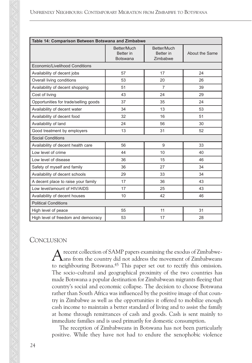| Table 14: Comparison Between Botswana and Zimbabwe |                                             |                                      |                |  |  |
|----------------------------------------------------|---------------------------------------------|--------------------------------------|----------------|--|--|
|                                                    | Better/Much<br>Better in<br><b>Botswana</b> | Better/Much<br>Better in<br>Zimbabwe | About the Same |  |  |
| Economic/Livelihood Conditions                     |                                             |                                      |                |  |  |
| Availability of decent jobs                        | 57                                          | 17                                   | 24             |  |  |
| Overall living conditions                          | 53                                          | 20                                   | 26             |  |  |
| Availability of decent shopping                    | 51                                          | $\overline{7}$                       | 39             |  |  |
| Cost of living                                     | 43                                          | 24                                   | 29             |  |  |
| Opportunities for trade/selling goods              | 37                                          | 35                                   | 24             |  |  |
| Availability of decent water                       | 34                                          | 13                                   | 53             |  |  |
| Availability of decent food                        | 32                                          | 16                                   | 51             |  |  |
| Availability of land                               | 24                                          | 56                                   | 30             |  |  |
| Good treatment by employers                        | 13                                          | 31                                   | 52             |  |  |
| <b>Social Conditions</b>                           |                                             |                                      |                |  |  |
| Availability of decent health care                 | 56                                          | 9                                    | 33             |  |  |
| Low level of crime                                 | 44                                          | 10                                   | 40             |  |  |
| Low level of disease                               | 36                                          | 15                                   | 46             |  |  |
| Safety of myself and family                        | 36                                          | 27                                   | 34             |  |  |
| Availability of decent schools                     | 29                                          | 33                                   | 34             |  |  |
| A decent place to raise your family                | 17                                          | 36                                   | 43             |  |  |
| Low level/amount of HIV/AIDS                       | 17                                          | 25                                   | 43             |  |  |
| Availability of decent houses                      | 10                                          | 42                                   | 46             |  |  |
| <b>Political Conditions</b>                        |                                             |                                      |                |  |  |
| High level of peace                                | 55                                          | 11                                   | 31             |  |  |
| High level of freedom and democracy                | 53                                          | 17                                   | 28             |  |  |

# **CONCLUSION**

recent collection of SAMP papers examining the exodus of Zimbabwe- $\Gamma$  ans from the country did not address the movement of Zimbabweans to neighbouring Botswana.45 This paper set out to rectify this omission. The socio-cultural and geographical proximity of the two countries has made Botswana a popular destination for Zimbabwean migrants fleeing that country's social and economic collapse. The decision to choose Botswana rather than South Africa was influenced by the positive image of that country in Zimbabwe as well as the opportunities it offered to mobilize enough cash income to maintain a better standard of living and to assist the family at home through remittances of cash and goods. Cash is sent mainly to immediate families and is used primarily for domestic consumption.

The reception of Zimbabweans in Botswana has not been particularly positive. While they have not had to endure the xenophobic violence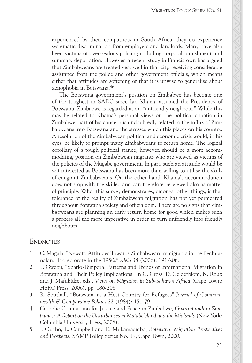experienced by their compatriots in South Africa, they do experience been victims of over-zealous policing including corporal punishment and summary deportation. However, a recent study in Francistown has argued that Zimbabweans are treated very well in that city, receiving considerable ass summary deportation. However, a recent study in Francistown has argued that Zimbabweans are treated very well in that city, receiving considerable assistance from the police and other government officials, which means xenophobia in Botswana.<sup>46</sup> systematic discrimination from employers and landlords. Many have also been victims of over-zealous policing including corporal punishment and

The Botswana government's position on Zimbabwe has become one of the toughest in SADC since Ian Khama assumed the Presidency of Botswana. Zimbabwe is regarded as an "unfriendly neighbour." While this may be related to Khama's personal views on the political situation in Zimbabwe, part of his concern is undoubtedly related to the influx of Zimbabweans into Botswana and the stresses which this places on his country. A resolution of the Zimbabwean political and economic crisis would, in his eyes, be likely to prompt many Zimbabweans to return home. The logical corollary of a tough political stance, however, should be a more accommodating position on Zimbabwean migrants who are viewed as victims of the policies of the Mugabe government. In part, such an attitude would be self-interested as Botswana has been more than willing to utilise the skills of emigrant Zimbabweans. On the other hand, Khama's accommodation does not stop with the skilled and can therefore be viewed also as matter of principle. What this survey demonstrates, amongst other things, is that tolerance of the reality of Zimbabwean migration has not yet permeated throughout Batswana society and officialdom. There are no signs that Zimbabweans are planning an early return home for good which makes such a process all the more imperative in order to turn unfriendly into friendly  $\mathbf{u}$ rs. MIGRATION POLICY SERIES NO. 61<br>
<br>
The Africa, they do experience<br>
and landlords. Many have also<br>
uding corporal punishment and<br>
tudy in Francistovn has argued<br>
that city, receiving considerable<br>
trimment officials, which m experienced by their compatrixes in South Africa, they do experience discrimination from employers and landlyths. Many have also<br>systematic discrimination from employers and landlyths. Many have also<br>summary deportation. H neighbours.

### **ENDNOTES**

- 1 C. Magala, "Ngwato Attitudes Towards Zimbabwean Immigrants in the Bechuanaland Protectorate in the 1950s" *Kleio* 38 (2006): 191-206.
- 2 T. Gwebu, "Spatio-Temporal Patterns and Trends of International Migration in Botswana and Their Policy Implications" In C. Cross, D. Gelderblom, N. Roux and J. Mafukidze, eds., *Views on Migration in Sub-Saharan Africa (*Cape Town: international to South African issues and provides new empirical mate-HSRC Press, 2006), pp. 186-206.
- 3 R. Southall, "Botswana as a Host Country for Refugees" *Journal of Common*wealth & Comparative Politics 22 (1984): 151-79.
- 4 Catholic Commission for Justice and Peace in Zimbabwe, *Gukurahundi in Zim*babwe: A Report on the Disturbances in Matabeleland and the Midlands (New York: Columbia University Press, 2008).
- 5 J. Oucho, E. Campbell and E. Mukamaambo, *Botswana: Migration Perspectives and Prospects*, SAMP Policy Series No. 19, Cape Town, 2000.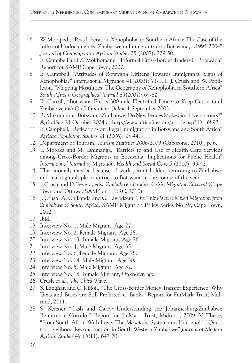- 6 W. Morapedi, "Post-Liberation Xenophobia in Southern Africa: The Case of the Influx of Undocumented Zimbabwean Immigrants into Botswana, c.1995-2004" *Journal of Contemporary African Studies* 25 (2007): 229-50.
- 7 E. Campbell and Z. Mokhomane, "Informal Cross-Border Traders in Botswana" Report for SAMP, Cape Town, 2007.
- 8 E. Campbell, "Attitudes of Botswana Citizens Towards Immigrants: Signs of Xenophobia?" *International Migration* 41(2003): 71-111; J. Crush and W. Pendleton, "Mapping Hostilities: The Geography of Xenophobia in Southern Africa" *South African Geographical Journal* 89(2007): 64-82.
- 9 R. Carroll, "Botswana Erects 300-mile Electrified Fence to Keep Cattle (and Zimbabweans) Out" *Guardian Online* 1 September 2003.
- 10 R. Mukumbira, "Botswana-Zimbabwe: Do New Fences Make Good Neighbours?" *AfricaFiles* 21 October 2004 at http://www.africafiles.org/article.asp?ID=6892
- 11 E. Campbell, "Reflections on Illegal Immigration in Botswana and South Africa" *African Population Studies* 21 (2006): 23-44.
- 12 Department of Tourism, *Tourism Statistics 2006-2009* (Gaborone, 2010), p. 6.
- 13 T. Moroka and M. Tshimanga, "Barriers to and Use of Health Care Services among Cross-Border Migrants in Botswana: Implications for Public Health" *International Journal of Migration, Health and Social Care* 5 (2010): 33-42.
- 14 This anomaly may be because of work permit holders returning to Zimbabwe and making multiple re-entries to Botswana in the course of the year.
- 15 J. Crush and D. Tevera, eds., *Zimbabwe's Exodus: Crisis, Migration Survival* (Cape Town and Ottawa: SAMP and IDRC, 2010).
- 16 J. Crush, A. Chikanda and G. Tawodzera, *The Third Wave: Mixed Migration from Zimbabwe to South Africa*, SAMP Migration Policy Series No 59, Cape Town, 2012.
- 17 Ibid.
- 18 Interview No. 1, Male Migrant, Age 27.
- 19 Interview No. 2, Female Migrant, Age 28.
- 20 Interview No. 13, Female Migrant, Age 26.
- 21 Interview No. 4, Male Migrant, Age 35.
- 22 Interview No. 6, Female Migrant, Age 28.
- 23 Interview No. 14, Male Migrant, Age 30.
- 24 Interview No. 5, Male Migrant, Age 32.
- 25 Interview No. 18, Female Migrant, Unknown age.
- 26 Crush et al., *The Third Wave*.
- 27 S. Langhan and C. Kilfoil, "The Cross-Border Money Transfer Experience: Why Taxis and Buses are Still Preferred to Banks" Report for FinMark Trust, Midrand, 2011.
- 28 S. Kerzner "Cash and Carry: Understanding the Johannesburg-Zimbabwe Remittance Corridor" Report for FinMark Trust, Midrand, 2009; V. Thebe, "From South Africa With Love: The *Mayalisha* System and Households' Quest for Livelihood Reconstruction in South-Western Zimbabwe" *Journal of Modern African Studies* 49 (2011): 647-70.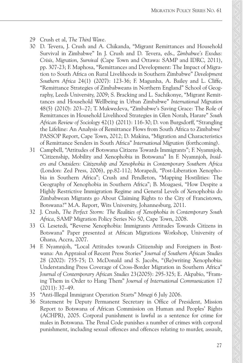- 29 Crush et al, The Third Wave.
- Survival in Zimbabwe" In J. Crush and D. Tevera, eds., *Zimbabwe's Exodus:* Crisis, Migration, Survival (Cape Town and Ottawa: SAMP and IDRC, 2011), pp. 307-23; F. Maphosa, "Remittances and Development: The Impact of Migra Crisis, Migr*ation, Survival* (Cape Town and Ottawa: SAMP and IDRC, 2011), pp. 307-23; F. Maphosa, "Remittances and Development: The Impact of Migration to South Africa on Rural Livelihoods in Southern Zimbabwe" *Development* Southern Africa 24(1) (2007): 123-36; F. Magunha, A. Bailey and L. Cliffe, "Remittance Strategies of Zimbabweans in Northern England" School of Geography, Leeds University, 2009; S. Bracking and L. Sachikonye, "Migrant Remittances and Household Wellbeing in Urban Zimbabwe" *International Migration* 48(5) (2010): 203–27; T. Mukwedeva, "Zimbabwe's Saving Grace: The Role of flow of health professionals is a core policy issue for the national gov-Remittances in Household Livelihood Strategies in Glen Norah, Harare" *South*  A*frican Review of Sociology* 42(1) (2011): 116-30; D. von Burgsdorff, "Strangling the Lifeline: An Analysis of Remittance Flows from South Africa to Zimbabwe" PASSOP Report, Cape Town, 2012; D. Makina, "Migration and Characteristics of Remittance Senders in South Africa" *International Migration* (forthcoming). MIGRATION POLICY SERIES NO. 61<br>
MIGRATION POLICY SERIES NO. 61<br>
Wera, eds., *Zimbabwe's Exodus:*<br>
SAMP and IDRC, 2011),<br>
udwar: SAMP and IDRC, 2011),<br>
ulogrametr. The Impact of Migrant<br>
urhna, A. Bailey and L. Cliffe,<br>
her 29 Crush et al, *The Third Ware Wave*. The Third Wave Crush and Bone-Role Survive in E. Crush and D. Revera, clear and A. Chilamaha, "Migranut Remattances and Househol's Urish Crush and D. Revera, clear and D. Revera, clea 30 D. Tevera, J. Crush and A. Chikanda, "Migrant Remittances and Household
- 31 Campbell, "Attitudes of Botswana Citizens Towards Immigrants"; F. Nyamnjoh, "Citizenship, Mobility and Xenophobia in Botswana" In F. Nyamnjoh, *Insid*ers and Outsiders: Citizenship and Xenophobia in Contemporary Southern Africa (London: Zed Press, 2006), pp.82-112; Morapedi, "Post-Liberation Xenophobia in Southern Africa"; Crush and Pendleton, "Mapping Hostilities: The Geography of Xenophobia in Southern Africa"; B. Moagaesi, "How Despite a Highly Restrictive Immigration Regime and General Levels of Xenophobia do Zimbabwean Migrants go About Claiming Rights to the City of Francistown, Botswana?" M.A. Report, Wits University, Johannesburg, 2011.
- 32 J. Crush, *The Perfect Storm: The Realities of Xenophobia in Contemporary South* A*frica*, SAMP Migration Policy Series No 50, Cape Town, 2008.
- 33 G. Lesetedi, "Reverse Xenophobia: Immigrants Attitudes Towards Citizens in Botswana" Paper presented at African Migrations Workshop, University of Ghana, Accra, 2007.
- 34 F. Nyamnjoh, "Local Attitudes towards Citizenship and Foreigners in Bostwana: An Appraisal of Recent Press Stories" *Journal of Southern African Studies* 28 (2002): 755-75; D. McDonald and S. Jacobs, "(Re)writing Xenophobia: Understanding Press Coverage of Cross-Border Migration in Southern Africa" fessionals, focusing in particular upon debates relating to the experience *Journal of Contemporary African Studies* 23(2005): 295-325; E. Akpabio, "Framing Them in Order to Hang Them" *Journal of International Communication* 17  $i)$ :  $37 - 49$ . (2011): 37–49.
- 35 "Anti-Illegal Immigrant Operation Starts" *Mmegi* 6 July 2006.
- 36 Statement by Deputy Permanent Secretary in Office of President, Mission Report to Botswana of African Commission on Human and Peoples' Rights (ACHPR), 2005. Corporal punishment is lawful as a sentence for crime for males in Botswana. The Penal Code punishes a number of crimes with corporal punishment, including sexual offences and offences relating to murder, assault,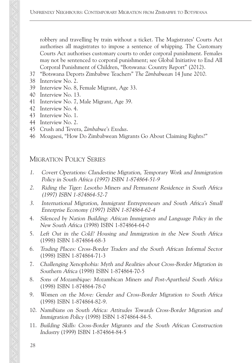robbery and travelling by train without a ticket. The Magistrates' Courts Act authorises all magistrates to impose a sentence of whipping. The Customary Courts Act authorises customary courts to order corporal punishment. Females may not be sentenced to corporal punishment; see Global Initiative to End All Corporal Punishment of Children, "Botswana: Country Report" (2012).

- 37 "Botswana Deports Zimbabwe Teachers" *The Zimbabwean* 14 June 2010.
- 38 Interview No. 2.
- 39 Interview No. 8, Female Migrant, Age 33.
- 40 Interview No. 13.
- 41 Interview No. 7, Male Migrant, Age 39.
- 42 Interview No. 4.
- 43 Interview No. 1.
- 44 Interview No. 2.
- 45 Crush and Tevera, *Zimbabwe's Exodus*.
- 46 Moagaesi, "How Do Zimbabwean Migrants Go About Claiming Rights?"

## MIGRATION POLICY SERIES

- 1. Covert Operations: Clandestine Migration, Temporary Work and Immigration Policy in South Africa (1997) ISBN 1-874864-51-9
- 2. Riding the Tiger: Lesotho Miners and Permanent Residence in South Africa (1997) ISBN 1-874864-52-7
- 3. International Migration, Immigrant Entrepreneurs and South Africa's Small Enterprise Economy (1997) ISBN 1-874864-62-4
- 4. Silenced by Nation Building: African Immigrants and Language Policy in the New South Africa (1998) ISBN 1-874864-64-0
- 5. Left Out in the Cold? Housing and Immigration in the New South Africa (1998) ISBN 1-874864-68-3
- 6. Trading Places: Cross-Border Traders and the South African Informal Sector (1998) ISBN 1-874864-71-3
- 7. Challenging Xenophobia: Myth and Realities about Cross-Border Migration in Southern Africa (1998) ISBN 1-874864-70-5
- 8. Sons of Mozambique: Mozambican Miners and Post-Apartheid South Africa (1998) ISBN 1-874864-78-0
- 9. Women on the Move: Gender and Cross-Border Migration to South Africa (1998) ISBN 1-874864-82-9.
- 10. Namibians on South Africa: Attitudes Towards Cross-Border Migration and Immigration Policy (1998) ISBN 1-874864-84-5.
- 11. Building Skills: Cross-Border Migrants and the South African Construction Industry (1999) ISBN 1-874864-84-5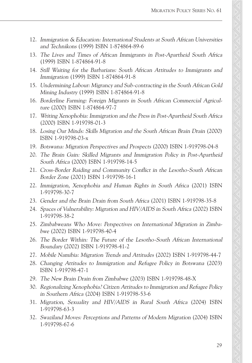- 12. Immigration & Education: International Students at South African Universities and Technikons (1999) ISBN 1-874864-89-6
- als most affected by globalization. Over the past decade, (1999) ISBN 1-874864-91-8
- 13. The Lives and Times of African Immigrants in Post-Apartheid South Africa<br>
1999) ISBN 1-874864-91-8<br>
14. Still Waiting for the Barbarians: South African Attitudes to Immigrants and<br>
Immigration (1999) ISBN 1-874864-91-8 14. Still Waiting for the Barbarians: South African Attitudes to Immigrants and Immigration (1999) ISBN 1-874864-91-8
- 15. Undermining Labour: Migrancy and Sub-contracting in the South African Gold and national scales. With the case of South Africa is contacting in the country integrity of Mining Industry (1999) ISBN 1-874864-91-8  $\frac{1}{2}$  interest. For almost 15 years South Africa has been stated by
- 16. Borderline Farming: Foreign Migrants in South African Commercial Agriculture (2000) ISBN 1-874864-97-7
- 17. Writing Xenophobia: Immigration and the Press in Post-Apartheid South Africa (2000) ISBN 1-919798-01-3
- 18. Losing Our Minds: Skills Migration and the South African Brain Drain (2000) ISBN 1-919798-03-x
- 19. Botswana: Migration Perspectives and Prospects (2000) ISBN 1-919798-04-8
- sonnel. The objectives of the paper are twofold: 20. The Brain Gain: Skilled Migrants and Immigration Policy in Post-Apartheid  $\frac{1}{2000}$  ment  $\frac{1}{2000}$  in the  $\frac{1}{2000}$ South Africa (2000) ISBN 1-919798-14-5
- 21. Cross-Border Raiding and Community Conflict in the Lesotho-South African Border Zone (2001) ISBN 1-919798-16-1
- 22. Immigration, Xenophobia and Human Rights in South Africa (2001) ISBN  $p<sub>1</sub>$ 1-919798-30-7
- 23. Gender and the Brain Drain from South Africa (2001) ISBN 1-919798-35-8
- $k$  state in the South Africa (2002) IS 24. Spaces of Vulnerability: Migration and HIV/AIDS in South Africa (2002) ISBN<br>1 010708 38.2 12. Immigration & Education: International Students at South African Universities<br>
12. The Lives and Trues of African Immigrants in Rost-Apartheid Study<br>
13. The Lives and Trues of African Immigrants in Rost-Apartheid Stu 1-919798-38-2
- skilled health migration. These recommendations are grounded at the comment of the comment of the commendations are grounded at the commendations are grounded at the commendations are grounded at the commendations are grou 25. Zimbabweans Who Move: Perspectives on International Migration in Zimbabwe (2002) ISBN 1-919798-40-4
- 26. The Border Within: The Future of the Lesotho-South African International Boundary (2002) ISBN 1-919798-41-2
- 27. Mobile Namibia: Migration Trends and Attitudes (2002) ISBN 1-919798-44-7
- 28. Changing Attitudes to Immigration and Refugee Policy in Botswana (2003)  $ISBN 1-919798-47-1$
- 29. The New Brain Drain from Zimbabwe (2003) ISBN 1-919798-48-X
- Now Diam Diam non Empaper (2009) IODN FOUR FOUR TO  $\frac{1}{2}$ 30. Regionalizing Xenophobia? Citizen Attitudes to Immigration and Refugee Policy in Southern Africa (2004) ISBN 1-919798-53-6
- 31. Migration, Sexuality and HIV/AIDS in Rural South Africa (2004) ISBN  $\frac{36}{56}$  and  $\frac{3}{56}$  and  $\frac{3}{56}$  and  $\frac{3}{56}$  interventions interventions interventions interventions in the  $\frac{36}{56}$  and  $\frac{36}{56}$  and  $\frac{36}{56}$  and  $\frac{36}{56}$  and  $\frac{36}{56}$  and  $\frac{36}{56}$  and  $\frac{3$ 1-919798-63-3
- 32. Swaziland Moves: Perceptions and Patterns of Modern Migration (2004) ISBN recruitment of foreign health professionals to work in South Africa. The 1-919798-67-6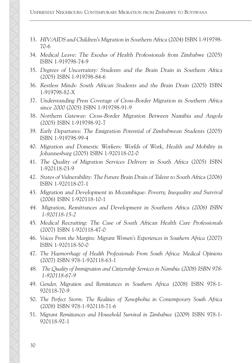Unfriendly neighboUrs: Contemporary migration from Zimbabwe to botswana

- 33. HIV/AIDS and Children's Migration in Southern Africa (2004) ISBN 1-919798- 70-6
- 34. Medical Leave: The Exodus of Health Professionals from Zimbabwe (2005) ISBN 1-919798-74-9
- 35. Degrees of Uncertainty: Students and the Brain Drain in Southern Africa (2005) ISBN 1-919798-84-6
- 36. Restless Minds: South African Students and the Brain Drain (2005) ISBN 1-919798-82-X
- 37. Understanding Press Coverage of Cross-Border Migration in Southern Africa since 2000 (2005) ISBN 1-919798-91-9
- 38. Northern Gateway: Cross-Border Migration Between Namibia and Angola (2005) ISBN 1-919798-92-7
- 39. Early Departures: The Emigration Potential of Zimbabwean Students (2005) ISBN 1-919798-99-4
- 40. Migration and Domestic Workers: Worlds of Work, Health and Mobility in Johannesburg (2005) ISBN 1-920118-02-0
- 41. The Quality of Migration Services Delivery in South Africa (2005) ISBN 1-920118-03-9
- 42. States of Vulnerability: The Future Brain Drain of Talent to South Africa (2006) ISBN 1-920118-07-1
- 43. Migration and Development in Mozambique: Poverty, Inequality and Survival (2006) ISBN 1-920118-10-1
- 44. Migration, Remittances and Development in Southern Africa (2006) ISBN 1-920118-15-2
- 45. Medical Recruiting: The Case of South African Health Care Professionals (2007) ISBN 1-920118-47-0
- 46. *Voices From the Margins: Migrant Women's Experiences in Southern Africa* (2007) ISBN 1-920118-50-0
- 47. *The Haemorrhage of Health Professionals From South Africa: Medical Opinions* (2007) ISBN 978-1-920118-63-1
- 48. *The Quality of Immigration and Citizenship Services in Namibia* (2008) ISBN 978- 1-920118-67-9
- 49. *Gender, Migration and Remittances in Southern Africa* (2008) ISBN 978-1- 920118-70-9
- 50. *The Perfect Storm: The Realities of Xenophobia in Contemporary South Africa*  (2008) ISBN 978-1-920118-71-6
- 51. *Migrant Remittances and Household Survival in Zimbabwe* (2009) ISBN 978-1- 920118-92-1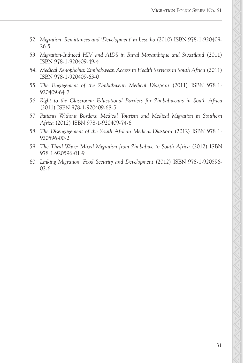- 52. Migration, Remittances and 'Development' in Lesotho (2010) ISBN 978-1-920409-26-5
- 13. Migration-Induced HIV and AIDS in Rural Mozambique and Swaziland (2011)<br>ISBN 978-1-920409-49-4<br>54. Medical Xenophobia: Zimbabwean Access to Health Services in South Africa (2011)<br>ISBN 978-1-920409-63-0 als most affected by globalization. Over the past decade, ISBN 978-1-920409-49-4 52. *Migration, Remittances and 'Development' in Lesotho (2010) ISBN 978-1-920409-*<br>53. *Migration-Induced HIV and AIDS in Rerad Mozambique and Sweepland (2011)*<br>54. Migration-Holaced HIV and AIDS in Rerad Mozambique and S
- 54. Medical Xenophobia: Zimbabwean Access to Health Services in South Africa (2011) patterns of international migration of health personnel, ISBN 978-1-920409-63-0
- Frederment of the Zimbeburgh Medical Discharge (2011) JSBN 078-1 55. The Engagement of the Zimbabwean Medical Diaspora (2011) ISBN 978-1-<br>020409.64.7 at the straight interest. For almost  $\sigma$  interest. For all  $\sigma$ 920409-64-7
- 56. Right to the Classroom: Educational Barriers for Zimbabweans in South Africa<br>(2011) ISBN 959-1-200420-60-5 (2011) ISBN 978-1-920409-68-5
- 57. Patients Without Borders: Medical Tourism and Medical Migration in Southern ernment. *Africa* (2012) ISBN 978-1-920409-74-6
- 58. The Disengagement of the South African Medical Diaspora (2012) ISBN 978-1the migration of skilled health professionals from the country and to 920596-00-2
- 59. The Third Wave: Mixed Migration from Zimbabwe to South Africa (2012) ISBN sonnel. The objectives of the paper are twofold: 978-1-920596-01-9
- $Q = \frac{1}{2}$  F  $\frac{1}{2}$   $\frac{1}{2}$   $\frac{1}{2}$   $\frac{1}{2}$   $\frac{1}{2}$   $\frac{1}{2}$   $\frac{1}{2}$   $\frac{1}{2}$   $\frac{1}{2}$   $\frac{1}{2}$   $\frac{1}{2}$   $\frac{1}{2}$   $\frac{1}{2}$   $\frac{1}{2}$   $\frac{1}{2}$   $\frac{1}{2}$   $\frac{1}{2}$   $\frac{1}{2}$   $\frac{1}{2}$   $\frac{1}{2}$   $\frac{1}{2$ 60. *Linking Migration, Food Security and Development* (2012) ISBN 978-1-920596-<br>23.6 02-6